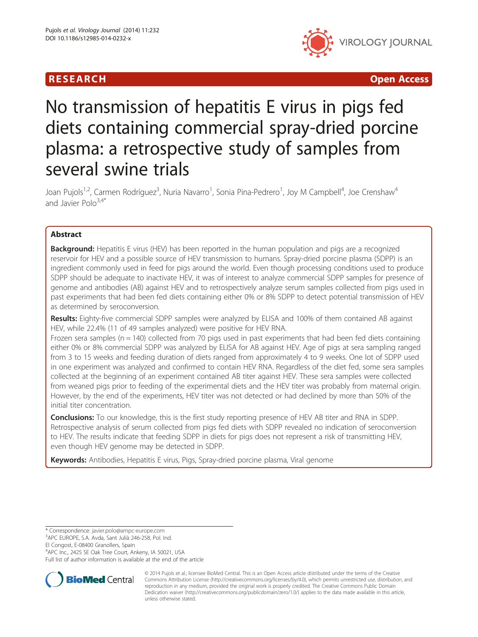

R E S EAR CH Open Access

# No transmission of hepatitis E virus in pigs fed diets containing commercial spray-dried porcine plasma: a retrospective study of samples from several swine trials

Joan Pujols<sup>1,2</sup>, Carmen Rodríguez<sup>3</sup>, Nuria Navarro<sup>1</sup>, Sonia Pina-Pedrero<sup>1</sup>, Joy M Campbell<sup>4</sup>, Joe Crenshaw<sup>4</sup> and Javier Polo $3,4*$ 

# Abstract

**Background:** Hepatitis E virus (HEV) has been reported in the human population and pigs are a recognized reservoir for HEV and a possible source of HEV transmission to humans. Spray-dried porcine plasma (SDPP) is an ingredient commonly used in feed for pigs around the world. Even though processing conditions used to produce SDPP should be adequate to inactivate HEV, it was of interest to analyze commercial SDPP samples for presence of genome and antibodies (AB) against HEV and to retrospectively analyze serum samples collected from pigs used in past experiments that had been fed diets containing either 0% or 8% SDPP to detect potential transmission of HEV as determined by seroconversion.

Results: Eighty-five commercial SDPP samples were analyzed by ELISA and 100% of them contained AB against HEV, while 22.4% (11 of 49 samples analyzed) were positive for HEV RNA.

Frozen sera samples ( $n = 140$ ) collected from 70 pigs used in past experiments that had been fed diets containing either 0% or 8% commercial SDPP was analyzed by ELISA for AB against HEV. Age of pigs at sera sampling ranged from 3 to 15 weeks and feeding duration of diets ranged from approximately 4 to 9 weeks. One lot of SDPP used in one experiment was analyzed and confirmed to contain HEV RNA. Regardless of the diet fed, some sera samples collected at the beginning of an experiment contained AB titer against HEV. These sera samples were collected from weaned pigs prior to feeding of the experimental diets and the HEV titer was probably from maternal origin. However, by the end of the experiments, HEV titer was not detected or had declined by more than 50% of the initial titer concentration.

**Conclusions:** To our knowledge, this is the first study reporting presence of HEV AB titer and RNA in SDPP. Retrospective analysis of serum collected from pigs fed diets with SDPP revealed no indication of seroconversion to HEV. The results indicate that feeding SDPP in diets for pigs does not represent a risk of transmitting HEV, even though HEV genome may be detected in SDPP.

Keywords: Antibodies, Hepatitis E virus, Pigs, Spray-dried porcine plasma, Viral genome

\* Correspondence: [javier.polo@ampc-europe.com](mailto:javier.polo@ampc-europe.com) <sup>3</sup>

El Congost, E-08400 Granollers, Spain

4 APC Inc., 2425 SE Oak Tree Court, Ankeny, IA 50021, USA Full list of author information is available at the end of the article



© 2014 Pujols et al.; licensee BioMed Central. This is an Open Access article distributed under the terms of the Creative Commons Attribution License [\(http://creativecommons.org/licenses/by/4.0\)](http://creativecommons.org/licenses/by/4.0), which permits unrestricted use, distribution, and reproduction in any medium, provided the original work is properly credited. The Creative Commons Public Domain Dedication waiver [\(http://creativecommons.org/publicdomain/zero/1.0/](http://creativecommons.org/publicdomain/zero/1.0/)) applies to the data made available in this article, unless otherwise stated.

<sup>&</sup>lt;sup>3</sup>APC EUROPE, S.A. Avda, Sant Julià 246-258, Pol. Ind.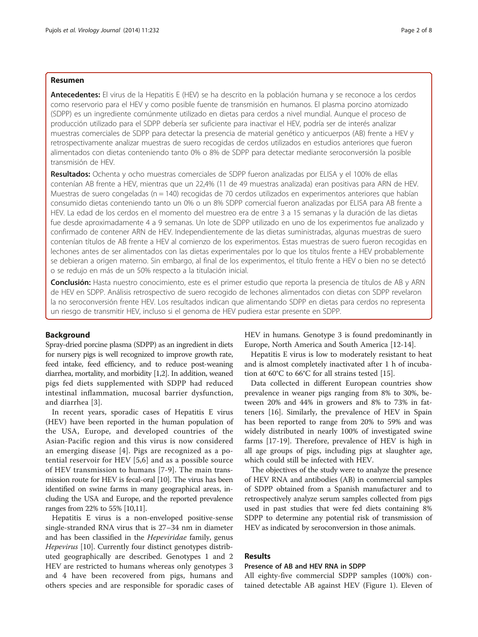# Resumen

Antecedentes: El virus de la Hepatitis E (HEV) se ha descrito en la población humana y se reconoce a los cerdos como reservorio para el HEV y como posible fuente de transmisión en humanos. El plasma porcino atomizado (SDPP) es un ingrediente comúnmente utilizado en dietas para cerdos a nivel mundial. Aunque el proceso de producción utilizado para el SDPP debería ser suficiente para inactivar el HEV, podría ser de interés analizar muestras comerciales de SDPP para detectar la presencia de material genético y anticuerpos (AB) frente a HEV y retrospectivamente analizar muestras de suero recogidas de cerdos utilizados en estudios anteriores que fueron alimentados con dietas conteniendo tanto 0% o 8% de SDPP para detectar mediante seroconversión la posible transmisión de HEV.

Resultados: Ochenta y ocho muestras comerciales de SDPP fueron analizadas por ELISA y el 100% de ellas contenían AB frente a HEV, mientras que un 22,4% (11 de 49 muestras analizada) eran positivas para ARN de HEV. Muestras de suero congeladas (n = 140) recogidas de 70 cerdos utilizados en experimentos anteriores que habían consumido dietas conteniendo tanto un 0% o un 8% SDPP comercial fueron analizadas por ELISA para AB frente a HEV. La edad de los cerdos en el momento del muestreo era de entre 3 a 15 semanas y la duración de las dietas fue desde aproximadamente 4 a 9 semanas. Un lote de SDPP utilizado en uno de los experimentos fue analizado y confirmado de contener ARN de HEV. Independientemente de las dietas suministradas, algunas muestras de suero contenían títulos de AB frente a HEV al comienzo de los experimentos. Estas muestras de suero fueron recogidas en lechones antes de ser alimentados con las dietas experimentales por lo que los títulos frente a HEV probablemente se debieran a origen materno. Sin embargo, al final de los experimentos, el título frente a HEV o bien no se detectó o se redujo en más de un 50% respecto a la titulación inicial.

Conclusión: Hasta nuestro conocimiento, este es el primer estudio que reporta la presencia de títulos de AB y ARN de HEV en SDPP. Análisis retrospectivo de suero recogido de lechones alimentados con dietas con SDPP revelaron la no seroconversión frente HEV. Los resultados indican que alimentando SDPP en dietas para cerdos no representa un riesgo de transmitir HEV, incluso si el genoma de HEV pudiera estar presente en SDPP.

# Background

Spray-dried porcine plasma (SDPP) as an ingredient in diets for nursery pigs is well recognized to improve growth rate, feed intake, feed efficiency, and to reduce post-weaning diarrhea, mortality, and morbidity [\[1,2\]](#page-6-0). In addition, weaned pigs fed diets supplemented with SDPP had reduced intestinal inflammation, mucosal barrier dysfunction, and diarrhea [[3\]](#page-6-0).

In recent years, sporadic cases of Hepatitis E virus (HEV) have been reported in the human population of the USA, Europe, and developed countries of the Asian-Pacific region and this virus is now considered an emerging disease [[4\]](#page-6-0). Pigs are recognized as a potential reservoir for HEV [\[5](#page-6-0),[6\]](#page-6-0) and as a possible source of HEV transmission to humans [\[7-9](#page-6-0)]. The main transmission route for HEV is fecal-oral [\[10\]](#page-6-0). The virus has been identified on swine farms in many geographical areas, including the USA and Europe, and the reported prevalence ranges from 22% to 55% [\[10,11](#page-6-0)].

Hepatitis E virus is a non-enveloped positive-sense single-stranded RNA virus that is 27–34 nm in diameter and has been classified in the Hepeviridae family, genus Hepevirus [\[10](#page-6-0)]. Currently four distinct genotypes distributed geographically are described. Genotypes 1 and 2 HEV are restricted to humans whereas only genotypes 3 and 4 have been recovered from pigs, humans and others species and are responsible for sporadic cases of HEV in humans. Genotype 3 is found predominantly in Europe, North America and South America [[12-14\]](#page-6-0).

Hepatitis E virus is low to moderately resistant to heat and is almost completely inactivated after 1 h of incubation at 60°C to 66°C for all strains tested [\[15\]](#page-6-0).

Data collected in different European countries show prevalence in weaner pigs ranging from 8% to 30%, between 20% and 44% in growers and 8% to 73% in fatteners [\[16](#page-6-0)]. Similarly, the prevalence of HEV in Spain has been reported to range from 20% to 59% and was widely distributed in nearly 100% of investigated swine farms [[17-19](#page-6-0)]. Therefore, prevalence of HEV is high in all age groups of pigs, including pigs at slaughter age, which could still be infected with HEV.

The objectives of the study were to analyze the presence of HEV RNA and antibodies (AB) in commercial samples of SDPP obtained from a Spanish manufacturer and to retrospectively analyze serum samples collected from pigs used in past studies that were fed diets containing 8% SDPP to determine any potential risk of transmission of HEV as indicated by seroconversion in those animals.

# Results

#### Presence of AB and HEV RNA in SDPP

All eighty-five commercial SDPP samples (100%) contained detectable AB against HEV (Figure [1](#page-2-0)). Eleven of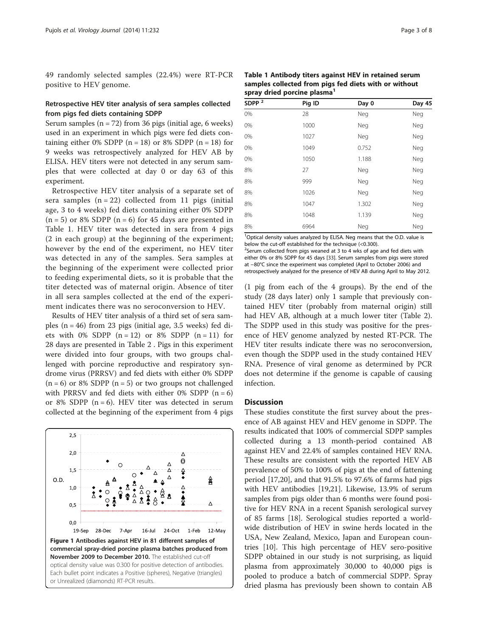<span id="page-2-0"></span>49 randomly selected samples (22.4%) were RT-PCR positive to HEV genome.

# Retrospective HEV titer analysis of sera samples collected from pigs fed diets containing SDPP

Serum samples  $(n = 72)$  from 36 pigs (initial age, 6 weeks) used in an experiment in which pigs were fed diets containing either 0% SDPP  $(n = 18)$  or 8% SDPP  $(n = 18)$  for 9 weeks was retrospectively analyzed for HEV AB by ELISA. HEV titers were not detected in any serum samples that were collected at day 0 or day 63 of this experiment.

Retrospective HEV titer analysis of a separate set of sera samples  $(n = 22)$  collected from 11 pigs (initial age, 3 to 4 weeks) fed diets containing either 0% SDPP  $(n = 5)$  or 8% SDPP  $(n = 6)$  for 45 days are presented in Table 1. HEV titer was detected in sera from 4 pigs (2 in each group) at the beginning of the experiment; however by the end of the experiment, no HEV titer was detected in any of the samples. Sera samples at the beginning of the experiment were collected prior to feeding experimental diets, so it is probable that the titer detected was of maternal origin. Absence of titer in all sera samples collected at the end of the experiment indicates there was no seroconversion to HEV.

Results of HEV titer analysis of a third set of sera samples  $(n = 46)$  from 23 pigs (initial age, 3.5 weeks) fed diets with 0% SDPP  $(n = 12)$  or 8% SDPP  $(n = 11)$  for 28 days are presented in Table [2](#page-3-0) . Pigs in this experiment were divided into four groups, with two groups challenged with porcine reproductive and respiratory syndrome virus (PRRSV) and fed diets with either 0% SDPP  $(n = 6)$  or 8% SDPP  $(n = 5)$  or two groups not challenged with PRRSV and fed diets with either 0% SDPP  $(n = 6)$ or 8% SDPP  $(n = 6)$ . HEV titer was detected in serum collected at the beginning of the experiment from 4 pigs



| Table 1 Antibody titers against HEV in retained serum |
|-------------------------------------------------------|
| samples collected from pigs fed diets with or without |
| spray dried porcine plasma <sup>1</sup>               |

| Pig ID | Day 0 | Day 45 |
|--------|-------|--------|
| 28     | Neg   | Neg    |
| 1000   | Neg   | Neg    |
| 1027   | Neg   | Neg    |
| 1049   | 0.752 | Neg    |
| 1050   | 1.188 | Neg    |
| 27     | Neg   | Neg    |
| 999    | Neg   | Neg    |
| 1026   | Neg   | Neg    |
| 1047   | 1.302 | Neg    |
| 1048   | 1.139 | Neg    |
| 6964   | Neg   | Neg    |
|        |       |        |

<sup>1</sup>Optical density values analyzed by ELISA. Neg means that the O.D. value is below the cut-off established for the technique (<0.300). <sup>2</sup>Serum collected from pigs weaned at 3 to 4 wks of age and fed diets with either 0% or 8% SDPP for 45 days [[33](#page-6-0)]. Serum samples from pigs were stored at −80°C since the experiment was completed (April to October 2006) and retrospectively analyzed for the presence of HEV AB during April to May 2012.

(1 pig from each of the 4 groups). By the end of the study (28 days later) only 1 sample that previously contained HEV titer (probably from maternal origin) still had HEV AB, although at a much lower titer (Table [2](#page-3-0)). The SDPP used in this study was positive for the presence of HEV genome analyzed by nested RT-PCR. The HEV titer results indicate there was no seroconversion, even though the SDPP used in the study contained HEV RNA. Presence of viral genome as determined by PCR does not determine if the genome is capable of causing infection.

# **Discussion**

These studies constitute the first survey about the presence of AB against HEV and HEV genome in SDPP. The results indicated that 100% of commercial SDPP samples collected during a 13 month-period contained AB against HEV and 22.4% of samples contained HEV RNA. These results are consistent with the reported HEV AB prevalence of 50% to 100% of pigs at the end of fattening period [[17,20\]](#page-6-0), and that 91.5% to 97.6% of farms had pigs with HEV antibodies [[19,21\]](#page-6-0). Likewise, 13.9% of serum samples from pigs older than 6 months were found positive for HEV RNA in a recent Spanish serological survey of 85 farms [\[18\]](#page-6-0). Serological studies reported a worldwide distribution of HEV in swine herds located in the USA, New Zealand, Mexico, Japan and European countries [\[10\]](#page-6-0). This high percentage of HEV sero-positive SDPP obtained in our study is not surprising, as liquid plasma from approximately 30,000 to 40,000 pigs is pooled to produce a batch of commercial SDPP. Spray dried plasma has previously been shown to contain AB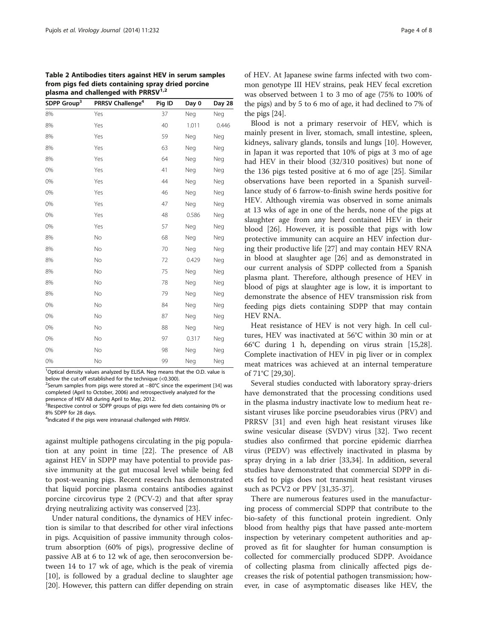<span id="page-3-0"></span>Table 2 Antibodies titers against HEV in serum samples from pigs fed diets containing spray dried porcine plasma and challenged with PRRSV $^{1,2}$ 

| SDPP Group <sup>3</sup> | PRRSV Challenge <sup>4</sup> | Pig ID | Day 0 | Day 28 |
|-------------------------|------------------------------|--------|-------|--------|
| 8%                      | Yes                          | 37     | Neg   | Neg    |
| 8%                      | Yes                          | 40     | 1.011 | 0.446  |
| 8%                      | Yes                          | 59     | Neg   | Neg    |
| 8%                      | Yes                          | 63     | Neg   | Neg    |
| 8%                      | Yes                          | 64     | Neg   | Neg    |
| 0%                      | Yes                          | 41     | Neg   | Neg    |
| 0%                      | Yes                          | 44     | Neg   | Neg    |
| 0%                      | Yes                          | 46     | Neg   | Neg    |
| 0%                      | Yes                          | 47     | Neg   | Neg    |
| 0%                      | Yes                          | 48     | 0.586 | Neg    |
| 0%                      | Yes                          | 57     | Neg   | Neg    |
| 8%                      | No                           | 68     | Neg   | Neg    |
| 8%                      | No                           | 70     | Neg   | Neg    |
| 8%                      | No                           | 72     | 0.429 | Neg    |
| 8%                      | No                           | 75     | Neg   | Neg    |
| 8%                      | No                           | 78     | Neg   | Neg    |
| 8%                      | No                           | 79     | Neg   | Neg    |
| 0%                      | No                           | 84     | Neg   | Neg    |
| 0%                      | No                           | 87     | Neg   | Neg    |
| 0%                      | No                           | 88     | Neg   | Neg    |
| 0%                      | No                           | 97     | 0.317 | Neg    |
| 0%                      | No                           | 98     | Neg   | Neg    |
| 0%                      | No                           | 99     | Neg   | Neg    |

<sup>1</sup>Optical density values analyzed by ELISA. Neg means that the O.D. value is below the cut-off established for the technique (<0.300).

<sup>2</sup>Serum samples from pigs were stored at −80°C since the experiment [\[34\]](#page-6-0) was completed (April to October, 2006) and retrospectively analyzed for the presence of HEV AB during April to May, 2012.

<sup>3</sup> Respective control or SDPP groups of pigs were fed diets containing 0% or 8% SDPP for 28 days.

<sup>4</sup>Indicated if the pigs were intranasal challenged with PRRSV.

against multiple pathogens circulating in the pig population at any point in time [[22\]](#page-6-0). The presence of AB against HEV in SDPP may have potential to provide passive immunity at the gut mucosal level while being fed to post-weaning pigs. Recent research has demonstrated that liquid porcine plasma contains antibodies against porcine circovirus type 2 (PCV-2) and that after spray drying neutralizing activity was conserved [\[23](#page-6-0)].

Under natural conditions, the dynamics of HEV infection is similar to that described for other viral infections in pigs. Acquisition of passive immunity through colostrum absorption (60% of pigs), progressive decline of passive AB at 6 to 12 wk of age, then seroconversion between 14 to 17 wk of age, which is the peak of viremia [[10\]](#page-6-0), is followed by a gradual decline to slaughter age [[20](#page-6-0)]. However, this pattern can differ depending on strain of HEV. At Japanese swine farms infected with two common genotype III HEV strains, peak HEV fecal excretion was observed between 1 to 3 mo of age (75% to 100% of the pigs) and by 5 to 6 mo of age, it had declined to 7% of the pigs [[24](#page-6-0)].

Blood is not a primary reservoir of HEV, which is mainly present in liver, stomach, small intestine, spleen, kidneys, salivary glands, tonsils and lungs [\[10\]](#page-6-0). However, in Japan it was reported that 10% of pigs at 3 mo of age had HEV in their blood (32/310 positives) but none of the 136 pigs tested positive at 6 mo of age [[25\]](#page-6-0). Similar observations have been reported in a Spanish surveillance study of 6 farrow-to-finish swine herds positive for HEV. Although viremia was observed in some animals at 13 wks of age in one of the herds, none of the pigs at slaughter age from any herd contained HEV in their blood [\[26\]](#page-6-0). However, it is possible that pigs with low protective immunity can acquire an HEV infection during their productive life [[27\]](#page-6-0) and may contain HEV RNA in blood at slaughter age [\[26\]](#page-6-0) and as demonstrated in our current analysis of SDPP collected from a Spanish plasma plant. Therefore, although presence of HEV in blood of pigs at slaughter age is low, it is important to demonstrate the absence of HEV transmission risk from feeding pigs diets containing SDPP that may contain HEV RNA.

Heat resistance of HEV is not very high. In cell cultures, HEV was inactivated at 56°C within 30 min or at 66°C during 1 h, depending on virus strain [\[15,28](#page-6-0)]. Complete inactivation of HEV in pig liver or in complex meat matrices was achieved at an internal temperature of 71°C [[29,30\]](#page-6-0).

Several studies conducted with laboratory spray-driers have demonstrated that the processing conditions used in the plasma industry inactivate low to medium heat resistant viruses like porcine pseudorabies virus (PRV) and PRRSV [[31](#page-6-0)] and even high heat resistant viruses like swine vesicular disease (SVDV) virus [\[32\]](#page-6-0). Two recent studies also confirmed that porcine epidemic diarrhea virus (PEDV) was effectively inactivated in plasma by spray drying in a lab drier [[33,34\]](#page-6-0). In addition, several studies have demonstrated that commercial SDPP in diets fed to pigs does not transmit heat resistant viruses such as PCV2 or PPV [[31](#page-6-0),[35](#page-6-0)-[37\]](#page-6-0).

There are numerous features used in the manufacturing process of commercial SDPP that contribute to the bio-safety of this functional protein ingredient. Only blood from healthy pigs that have passed ante-mortem inspection by veterinary competent authorities and approved as fit for slaughter for human consumption is collected for commercially produced SDPP. Avoidance of collecting plasma from clinically affected pigs decreases the risk of potential pathogen transmission; however, in case of asymptomatic diseases like HEV, the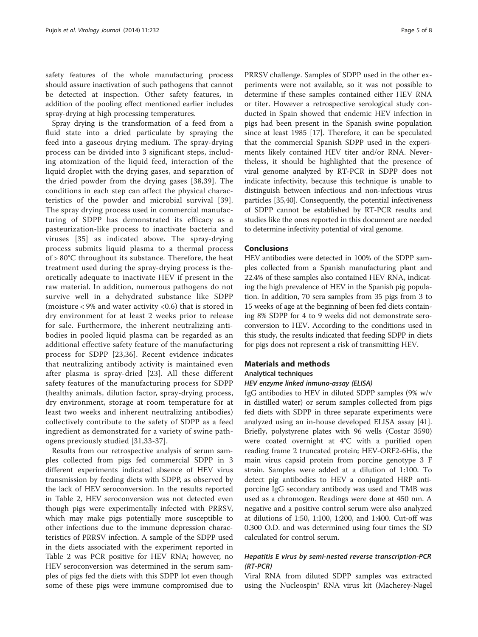safety features of the whole manufacturing process should assure inactivation of such pathogens that cannot be detected at inspection. Other safety features, in addition of the pooling effect mentioned earlier includes spray-drying at high processing temperatures.

Spray drying is the transformation of a feed from a fluid state into a dried particulate by spraying the feed into a gaseous drying medium. The spray-drying process can be divided into 3 significant steps, including atomization of the liquid feed, interaction of the liquid droplet with the drying gases, and separation of the dried powder from the drying gases [[38](#page-6-0),[39\]](#page-7-0). The conditions in each step can affect the physical characteristics of the powder and microbial survival [[39\]](#page-7-0). The spray drying process used in commercial manufacturing of SDPP has demonstrated its efficacy as a pasteurization-like process to inactivate bacteria and viruses [[35\]](#page-6-0) as indicated above. The spray-drying process submits liquid plasma to a thermal process of > 80°C throughout its substance. Therefore, the heat treatment used during the spray-drying process is theoretically adequate to inactivate HEV if present in the raw material. In addition, numerous pathogens do not survive well in a dehydrated substance like SDPP (moisture < 9% and water activity <0.6) that is stored in dry environment for at least 2 weeks prior to release for sale. Furthermore, the inherent neutralizing antibodies in pooled liquid plasma can be regarded as an additional effective safety feature of the manufacturing process for SDPP [\[23,36](#page-6-0)]. Recent evidence indicates that neutralizing antibody activity is maintained even after plasma is spray-dried [[23](#page-6-0)]. All these different safety features of the manufacturing process for SDPP (healthy animals, dilution factor, spray-drying process, dry environment, storage at room temperature for at least two weeks and inherent neutralizing antibodies) collectively contribute to the safety of SDPP as a feed ingredient as demonstrated for a variety of swine pathogens previously studied [[31,33-37\]](#page-6-0).

Results from our retrospective analysis of serum samples collected from pigs fed commercial SDPP in 3 different experiments indicated absence of HEV virus transmission by feeding diets with SDPP, as observed by the lack of HEV seroconversion. In the results reported in Table [2](#page-3-0), HEV seroconversion was not detected even though pigs were experimentally infected with PRRSV, which may make pigs potentially more susceptible to other infections due to the immune depression characteristics of PRRSV infection. A sample of the SDPP used in the diets associated with the experiment reported in Table [2](#page-3-0) was PCR positive for HEV RNA; however, no HEV seroconversion was determined in the serum samples of pigs fed the diets with this SDPP lot even though some of these pigs were immune compromised due to

PRRSV challenge. Samples of SDPP used in the other experiments were not available, so it was not possible to determine if these samples contained either HEV RNA or titer. However a retrospective serological study conducted in Spain showed that endemic HEV infection in pigs had been present in the Spanish swine population since at least 1985 [\[17](#page-6-0)]. Therefore, it can be speculated that the commercial Spanish SDPP used in the experiments likely contained HEV titer and/or RNA. Nevertheless, it should be highlighted that the presence of viral genome analyzed by RT-PCR in SDPP does not indicate infectivity, because this technique is unable to distinguish between infectious and non-infectious virus particles [\[35](#page-6-0)[,40\]](#page-7-0). Consequently, the potential infectiveness of SDPP cannot be established by RT-PCR results and studies like the ones reported in this document are needed to determine infectivity potential of viral genome.

# Conclusions

HEV antibodies were detected in 100% of the SDPP samples collected from a Spanish manufacturing plant and 22.4% of these samples also contained HEV RNA, indicating the high prevalence of HEV in the Spanish pig population. In addition, 70 sera samples from 35 pigs from 3 to 15 weeks of age at the beginning of been fed diets containing 8% SDPP for 4 to 9 weeks did not demonstrate seroconversion to HEV. According to the conditions used in this study, the results indicated that feeding SDPP in diets for pigs does not represent a risk of transmitting HEV.

# Materials and methods

# Analytical techniques

#### HEV enzyme linked inmuno-assay (ELISA)

IgG antibodies to HEV in diluted SDPP samples (9% w/v in distilled water) or serum samples collected from pigs fed diets with SDPP in three separate experiments were analyzed using an in-house developed ELISA assay [\[41](#page-7-0)]. Briefly, polystyrene plates with 96 wells (Costar 3590) were coated overnight at 4°C with a purified open reading frame 2 truncated protein; HEV-ORF2-6His, the main virus capsid protein from porcine genotype 3 F strain. Samples were added at a dilution of 1:100. To detect pig antibodies to HEV a conjugated HRP antiporcine IgG secondary antibody was used and TMB was used as a chromogen. Readings were done at 450 nm. A negative and a positive control serum were also analyzed at dilutions of 1:50, 1:100, 1:200, and 1:400. Cut-off was 0.300 O.D. and was determined using four times the SD calculated for control serum.

# Hepatitis E virus by semi-nested reverse transcription-PCR (RT-PCR)

Viral RNA from diluted SDPP samples was extracted using the Nucleospin® RNA virus kit (Macherey-Nagel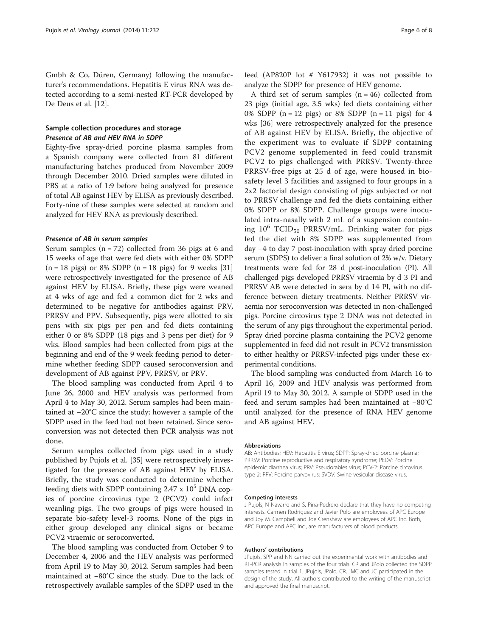Gmbh & Co, Düren, Germany) following the manufacturer's recommendations. Hepatitis E virus RNA was detected according to a semi-nested RT-PCR developed by De Deus et al. [[12](#page-6-0)].

# Sample collection procedures and storage Presence of AB and HEV RNA in SDPP

Eighty-five spray-dried porcine plasma samples from a Spanish company were collected from 81 different manufacturing batches produced from November 2009 through December 2010. Dried samples were diluted in PBS at a ratio of 1:9 before being analyzed for presence of total AB against HEV by ELISA as previously described. Forty-nine of these samples were selected at random and analyzed for HEV RNA as previously described.

#### Presence of AB in serum samples

Serum samples  $(n = 72)$  collected from 36 pigs at 6 and 15 weeks of age that were fed diets with either 0% SDPP  $(n = 18 \text{ pigs})$  or 8% SDPP  $(n = 18 \text{ pigs})$  for 9 weeks [[31](#page-6-0)] were retrospectively investigated for the presence of AB against HEV by ELISA. Briefly, these pigs were weaned at 4 wks of age and fed a common diet for 2 wks and determined to be negative for antibodies against PRV, PRRSV and PPV. Subsequently, pigs were allotted to six pens with six pigs per pen and fed diets containing either 0 or 8% SDPP (18 pigs and 3 pens per diet) for 9 wks. Blood samples had been collected from pigs at the beginning and end of the 9 week feeding period to determine whether feeding SDPP caused seroconversion and development of AB against PPV, PRRSV, or PRV.

The blood sampling was conducted from April 4 to June 26, 2000 and HEV analysis was performed from April 4 to May 30, 2012. Serum samples had been maintained at −20°C since the study; however a sample of the SDPP used in the feed had not been retained. Since seroconversion was not detected then PCR analysis was not done.

Serum samples collected from pigs used in a study published by Pujols et al. [\[35](#page-6-0)] were retrospectively investigated for the presence of AB against HEV by ELISA. Briefly, the study was conducted to determine whether feeding diets with SDPP containing  $2.47 \times 10^5$  DNA copies of porcine circovirus type 2 (PCV2) could infect weanling pigs. The two groups of pigs were housed in separate bio-safety level-3 rooms. None of the pigs in either group developed any clinical signs or became PCV2 viraemic or seroconverted.

The blood sampling was conducted from October 9 to December 4, 2006 and the HEV analysis was performed from April 19 to May 30, 2012. Serum samples had been maintained at −80°C since the study. Due to the lack of retrospectively available samples of the SDPP used in the

feed (AP820P lot # Y617932) it was not possible to analyze the SDPP for presence of HEV genome.

A third set of serum samples  $(n = 46)$  collected from 23 pigs (initial age, 3.5 wks) fed diets containing either 0% SDPP ( $n = 12$  pigs) or 8% SDPP ( $n = 11$  pigs) for 4 wks [[36](#page-6-0)] were retrospectively analyzed for the presence of AB against HEV by ELISA. Briefly, the objective of the experiment was to evaluate if SDPP containing PCV2 genome supplemented in feed could transmit PCV2 to pigs challenged with PRRSV. Twenty-three PRRSV-free pigs at 25 d of age, were housed in biosafety level 3 facilities and assigned to four groups in a 2x2 factorial design consisting of pigs subjected or not to PRRSV challenge and fed the diets containing either 0% SDPP or 8% SDPP. Challenge groups were inoculated intra-nasally with 2 mL of a suspension containing  $10^6$  TCID<sub>50</sub> PRRSV/mL. Drinking water for pigs fed the diet with 8% SDPP was supplemented from day −4 to day 7 post-inoculation with spray dried porcine serum (SDPS) to deliver a final solution of 2% w/v. Dietary treatments were fed for 28 d post-inoculation (PI). All challenged pigs developed PRRSV viraemia by d 3 PI and PRRSV AB were detected in sera by d 14 PI, with no difference between dietary treatments. Neither PRRSV viraemia nor seroconversion was detected in non-challenged pigs. Porcine circovirus type 2 DNA was not detected in the serum of any pigs throughout the experimental period. Spray dried porcine plasma containing the PCV2 genome supplemented in feed did not result in PCV2 transmission to either healthy or PRRSV-infected pigs under these experimental conditions.

The blood sampling was conducted from March 16 to April 16, 2009 and HEV analysis was performed from April 19 to May 30, 2012. A sample of SDPP used in the feed and serum samples had been maintained at −80°C until analyzed for the presence of RNA HEV genome and AB against HEV.

#### Abbreviations

AB: Antibodies; HEV: Hepatitis E virus; SDPP: Spray-dried porcine plasma; PRRSV: Porcine reproductive and respiratory syndrome; PEDV: Porcine epidemic diarrhea virus; PRV: Pseudorabies virus; PCV-2: Porcine circovirus type 2; PPV: Porcine parvovirus; SVDV: Swine vesicular disease virus.

#### Competing interests

J Pujols, N Navarro and S. Pina-Pedrero declare that they have no competing interests. Carmen Rodríguez and Javier Polo are employees of APC Europe and Joy M. Campbell and Joe Crenshaw are employees of APC Inc. Both, APC Europe and APC Inc., are manufacturers of blood products.

#### Authors' contributions

JPujols, SPP and NN carried out the experimental work with antibodies and RT-PCR analysis in samples of the four trials. CR and JPolo collected the SDPP samples tested in trial 1. JPujols, JPolo, CR, JMC and JC participated in the design of the study. All authors contributed to the writing of the manuscript and approved the final manuscript.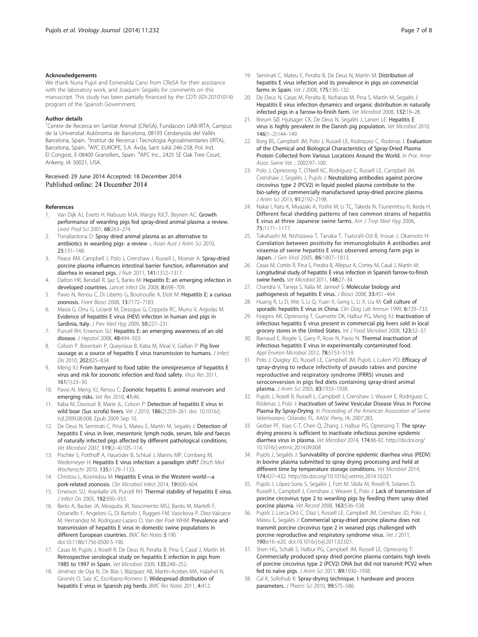#### <span id="page-6-0"></span>Acknowledgements

We thank Nuria Pujol and Esmeralda Cano from CReSA for their assistance with the laboratory work, and Joaquim Segalés for comments on this manuscript. This study has been partially financed by the CDTI (IDI-20101014) program of the Spanish Government.

#### Author details

<sup>1</sup> Centre de Recerca en Sanitat Animal (CReSA), Fundación UAB-IRTA, Campus de la Universitat Autònoma de Barcelona, 08193 Cerdanyola del Vallès Barcelona, Spain. <sup>2</sup>Institut de Recerca i Tecnologia Agroalimentàries (IRTA), Barcelona, Spain. <sup>3</sup>APC EUROPE, S.A. Avda, Sant Julià 246-258, Pol. Ind. El Congost, E-08400 Granollers, Spain. <sup>4</sup>APC Inc., 2425 SE Oak Tree Court, Ankeny, IA 50021, USA.

#### Received: 29 June 2014 Accepted: 18 December 2014 Published online: 24 December 2014

#### References

- 1. Van Dijk AJ, Everts H, Nabuurs MJA, Margry RJCF, Beynen AC: Growth performance of weanling pigs fed spray-dried animal plasma: a review. Livest Prod Sci 2001, 68:263–274.
- 2. Torrallardona D: Spray dried animal plasma as an alternative to antibiotics in weanling pigs- a review -. Asian Aust J Anim Sci 2010, 23:131–148.
- 3. Peace RM, Campbell J, Polo J, Crenshaw J, Russell L, Moeser A: Spray-dried porcine plasma influences intestinal barrier function, inflammation and diarrhea in weaned pigs. J Nutr 2011, 141:1312–1317.
- 4. Dalton HR, Bendall R, Ijaz S, Banks M: Hepatitis E: an emerging infection in developed countries. Lancet Infect Dis 2008, 8:698–709.
- 5. Pavio N, Renou C, Di Liberto G, Boutrouille A, Eloit M: Hepatitis E: a curious zoonosis. Front Biosci 2008, 13:7172–7183.
- Masia G, Orru G, Liciardi M, Desogus G, Coppola RC, Murru V, Argiolas M: Evidence of hepatitis E virus (HEV) infection in human and pigs in Sardinia, Italy. J Prev Med Hyg 2009, 50:227-231.
- 7. Purcell RH, Emerson SU: Hepatitis E: an emerging awareness of an old disease. *J Hepatol* 2008, **48:**494-503.
- 8. Colson P, Borentain P, Queyriaux B, Kaba M, Moal V, Gallian P: Pig liver sausage as a source of hepatitis E virus transmission to humans. *J Infect* Dis 2010, 202:825–834.
- 9. Meng XJ: From barnyard to food table: the omnipresence of hepatitis E virus and risk for zoonotic infection and food safety. Virus Res 2011, 161(1):23–30.
- 10. Pavio N, Meng XJ, Renou C: Zoonotic hepatitis E: animal reservoirs and emerging risks. Vet Res 2010, 41:46.
- 11. Kaba M, Davoust B, Marie JL, Colson P: Detection of hepatitis E virus in wild boar (Sus scrofa) livers. Vet J 2010, 186(2):259–261. doi: 10.1016/j. tvjl.2009.08.008. Epub 2009 Sep 10.
- 12. De Deus N, Seminati C, Pina S, Mateu E, Martín M, Segalés J: Detection of hepatitis E virus in liver, mesenteric lymph node, serum, bile and faeces of naturally infected pigs affected by different pathological conditions. Vet Microbiol 2007, 119(2–4):105–114.
- 13. Pischke S, Potthoff A, Hauröder B, Schlué J, Manns MP, Cornberg M, Wedemeyer H: Hepatitis E virus infection: a paradigm shift? Dtsch Med Wochenschr 2010, 135:1129–1133.
- 14. Christou L, Kosmidou M: Hepatitis E virus in the Western world—a pork-related zoonosis. Clin Microbiol Infect 2014, 19:600-604.
- 15. Emerson SU, Arankalle VA, Purcell RH: Thermal stability of hepatitis E virus. J Infect Dis 2005, 192:930–933.
- 16. Berto A, Backer JA, Mesquita JR, Nascimento MSJ, Banks M, Martelli F, Ostanello F, Angeloni G, Di Bartolo I, Ruggeri FM, Vasickova P, Diez-Valcarce M, Hernandez M, Rodriguez-Lazaro D, Van der Poel WHM: Prevalence and transmission of hepatitis E virus in domestic swine populations in different European countries. BMC Res Notes 5:190. doi:10.1186/1756-0500-5-190.
- 17. Casas M, Pujols J, Rosell R, De Deus N, Peralta B, Pina S, Casal J, Martín M: Retrospective serological study on hepatitis E infection in pigs from 1985 to 1997 in Spain. Vet Microbiol 2009, 135:248–252.
- 18. Jiménez de Oya N, De Blas I, Blázquez AB, Martín-Acebes MA, Halaihel N, Gironés O, Saiz JC, Escribano-Romero E: Widespread distribution of hepatitis E virus in Spanish pig herds. BMC Res Notes 2011, 4:412.
- 19. Seminati C, Mateu E, Peralta B, De Deus N, Martín M: Distribution of hepatitis E virus infection and its prevalence in pigs on commercial farms in Spain. Vet J 2008, 175:130–132.
- 20. De Deus N, Casas M, Peralta B, Nofrarias M, Pina S, Martín M, Segalés J: Hepatitis E virus infection dynamics and organic distribution in naturally infected pigs in a farrow-to-finish farm. Vet Microbiol 2008, 132:19–28.
- 21. Breum SØ, Hjulsager CK, De Deus N, Segalés J, Larsen LE: Hepatitis E virus is highly prevalent in the Danish pig population. Vet Microbiol 2010, 146(1–2):144–149.
- 22. Borg BS, Campbell JM, Polo J, Russell LE, Rodriquez C, Rodenas J: Evaluation of the Chemical and Biological Characteristics of Spray-Dried Plasma Protein Collected from Various Locations Around the World. In Proc Amer Assoc Swine Vet. ; 2002:97–100.
- 23. Polo J, Opriessnig T, O'Neill KC, Rodríguez C, Russell LE, Campbell JM, Crenshaw J, Segalés J, Pujols J: Neutralizing antibodies against porcine circovirus type 2 (PCV2) in liquid pooled plasma contribute to the bio-safety of commercially manufactured spray-dried porcine plasma. J Anim Sci 2013, 91:2192–2198.
- 24. Nakai I, Kato K, Miyazaki A, Yoshii M, Li TC, Takeda N, Tsunemitsu H, Ikeda H: Different fecal shedding patterns of two common strains of hepatitis E virus at three Japanese swine farms. Am J Trop Med Hyg 2006, 75:1171–1177.
- 25. Takahashi M, Nishizawa T, Tanaka T, Tsatsralt-Od B, Inoue J, Okamoto H: Correlation between positivity for immunoglobulin A antibodies and viraemia of swine hepatitis E virus observed among farm pigs in Japan. J Gen Virol 2005, 86:1807–1813.
- 26. Casas M, Cortés R, Pina S, Peralta B, Allepuz A, Cortey M, Casal J, Martín M: Longitudinal study of hepatitis E virus infection in Spanish farrow-to-finish swine herds. Vet Microbiol 2011, 148:27–34.
- 27. Chandra V, Taneja S, Kalia M, Jameel S: Molecular biology and pathogenesis of hepatitis E virus. J Biosci 2008, 33:451-464
- 28. Huang R, Li D, Wei S, Li Q, Yuan X, Geng L, Li X, Liu M: Cell culture of sporadic hepatitis E virus in China. Clin Diag Lab Immun 1999, 6:729-733.
- 29. Feagins AR, Opriessnig T, Guenette DK, Halbur PG, Meng XJ: Inactivation of infectious hepatitis E virus present in commercial pig livers sold in local grocery stores in the United States. Int J Food Microbiol 2008, 123:32-37.
- 30. Barnaud E, Rogée S, Garry P, Rose N, Pavio N: Thermal inactivation of infectious hepatitis E virus in experimentally contaminated food. Appl Environ Microbiol 2012, 78:5153-5159.
- 31. Polo J, Quigley JD, Russell LE, Campbell JM, Pujols J, Lukert PD: Efficacy of spray-drying to reduce infectivity of pseudo rabies and porcine reproductive and respiratory syndrome (PRRS) viruses and seroconversion in pigs fed diets containing spray-dried animal plasma. J Anim Sci 2005, 83:1933–1938.
- 32. Pujols J, Rosell R, Russell L, Campbell J, Crenshaw J, Weaver E, Rodríguez C, Ródenas J, Polo J: Inactivation of Swine Vesicular Disease Virus in Porcine Plasma By Spray-Drying. In Proceeding of the American Association of Swine Veterinarians. Orlando: FL. AASV. Perry, IA; 2007:283.
- 33. Gerber PF, Xiao C-T, Chen Q, Zhang J, Halbur PG, Opriessnig T: The spraydrying process is sufficient to inactivate infectious porcine epidemic diarrhea virus in plasma. Vet Microbiol 2014, 174:86-92. [http://dx.doi.org/](http://dx.doi.org/10.1016/j.vetmic.2014.09.008) [10.1016/j.vetmic.2014.09.008](http://dx.doi.org/10.1016/j.vetmic.2014.09.008)
- 34. Pujols J, Segalés J: Survivability of porcine epidemic diarrhea virus (PEDV) in bovine plasma submitted to spray drying processing and held at different time by temperature storage conditions. Vet Microbiol 2014, 174:427–432.<http://dx.doi.org/10.1016/j.vetmic.2014.10.021>.
- 35. Pujols J, López-Soria S, Segalés J, Fort M, Sibila M, Rosell R, Solanes D, Russell L, Campbell J, Crenshaw J, Weaver E, Polo J: Lack of transmission of porcine circovirus type 2 to weanling pigs by feeding them spray dried porcine plasma. Vet Record 2008, 163:536–538.
- 36. Pujols J, Lorca-Oró C, Díaz I, Russell LE, Campbell JM, Crenshaw JD, Polo J, Mateu E, Segalés J: Commercial spray-dried porcine plasma does not transmit porcine circovirus type 2 in weaned pigs challenged with porcine reproductive and respiratory syndrome virus. Vet J 2011, 190:e16–e20. doi:10.1016/j.tvjl.2011.02.021.
- 37. Shen HG, Schalk S, Halbur PG, Campbell JM, Russell LE, Opriessnig T: Commercially produced spray dried porcine plasma contains high levels of porcine circovirus type 2 (PCV2) DNA but did not transmit PCV2 when fed to naïve pigs. J Anim Sci 2011, 89:1930–1938.
- 38. Cal K, Sollohub K: Spray-drying technique. I: hardware and process parameters. J Pharm Sci 2010, 99:575–586.